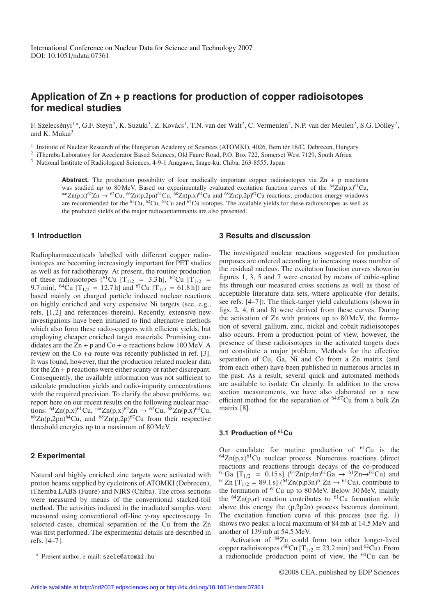# **Application of Zn + p reactions for production of copper radioisotopes for medical studies**

F. Szelecsényi<sup>1,a</sup>, G.F. Steyn<sup>2</sup>, K. Suzuki<sup>3</sup>, Z. Kovács<sup>1</sup>, T.N. van der Walt<sup>2</sup>, C. Vermeulen<sup>2</sup>, N.P. van der Meulen<sup>2</sup>, S.G. Dolley<sup>2</sup>, and K. Mukai $3$ 

 $1$  Institute of Nuclear Research of the Hungarian Academy of Sciences (ATOMKI), 4026, Bem tér 18/C, Debrecen, Hungary

<sup>2</sup> iThemba Laboratory for Accelerator Based Sciences, Old Faure Road, P.O. Box 722, Somerset West 7129, South Africa

<sup>3</sup> National Institute of Radiological Sciences, 4-9-1 Anagawa, Inage-ku, Chiba, 263-8555, Japan

**Abstract.** The production possibility of four medically important copper radioisotopes via  $\text{Zn} + \text{p}$  reactions was studied up to 80 MeV. Based on experimentally evaluated excitation function curves of the <sup>64</sup>Zn(p,x)<sup>61</sup>Cu, natZn(p,x)<sup>62</sup>Zn  $\rightarrow$  <sup>62</sup>Cu, <sup>66</sup>Zn(p,2pn)<sup>64</sup>Cu, <sup>68</sup>Zn(p,x)<sup>64</sup>Cu and <sup>68</sup>Zn(p,2p)<sup>67</sup>Cu reactions, production energy windows are recommended for the <sup>61</sup>Cu, <sup>62</sup>Cu, <sup>64</sup>Cu and <sup>67</sup>Cu isotopes. The available yields for these radioisotopes as well as the predicted yields of the major radiocontaminants are also presented.

#### **1 Introduction**

Radiopharmaceuticals labelled with different copper radioisotopes are becoming increasingly important for PET studies as well as for radiotherapy. At present, the routine production of these radioisotopes (<sup>61</sup>Cu [T<sub>1/2</sub> = 3.3 h], <sup>62</sup>Cu [T<sub>1/2</sub> = 9.7 min], <sup>64</sup>Cu  $[T_{1/2} = 12.7 \text{ h}]$  and <sup>67</sup>Cu  $[T_{1/2} = 61.8 \text{ h}]$  are based mainly on charged particle induced nuclear reactions on highly enriched and very expensive Ni targets (see, e.g., refs. [1, 2] and references therein). Recently, extensive new investigations have been initiated to find alternative methods which also form these radio-coppers with efficient yields, but employing cheaper enriched target materials. Promising candidates are the Zn + p and Co +  $\alpha$  reactions below 100 MeV. A review on the Co  $+\alpha$  route was recently published in ref. [3]. It was found, however, that the production related nuclear data for the  $Zn + p$  reactions were either scanty or rather discrepant. Consequently, the available information was not sufficient to calculate production yields and radio-impurity concentrations with the required precision. To clarify the above problems, we report here on our recent results on the following nuclear reactions:  ${}^{64}Zn(p,x)^{61}Cu$ ,  ${}^{nat}Zn(p,x)^{62}Zn \rightarrow {}^{62}Cu$ ,  ${}^{68}Zn(p,x)^{64}Cu$ ,  ${}^{66}Zn(p,2pn)^{64}Cu$ , and  ${}^{68}Zn(p,2p)^{67}Cu$  from their respective threshold energies up to a maximum of 80 MeV.

### **2 Experimental**

Natural and highly enriched zinc targets were activated with proton beams supplied by cyclotrons of ATOMKI (Debrecen), iThemba LABS (Faure) and NIRS (Chiba). The cross sections were measured by means of the conventional stacked-foil method. The activities induced in the irradiated samples were measured using conventional off-line γ-ray spectroscopy. In selected cases, chemical separation of the Cu from the Zn was first performed. The experimental details are described in refs. [4–7].

#### **3 Results and discussion**

The investigated nuclear reactions suggested for production purposes are ordered according to increasing mass number of the residual nucleus. The excitation function curves shown in figures 1, 3, 5 and 7 were created by means of cubic-spline fits through our measured cross sections as well as those of acceptable literature data sets, where applicable (for details, see refs. [4–7]). The thick-target yield calculations (shown in figs. 2, 4, 6 and 8) were derived from these curves. During the activation of Zn with protons up to 80 MeV, the formation of several gallium, zinc, nickel and cobalt radioisotopes also occurs. From a production point of view, however, the presence of these radioisotopes in the activated targets does not constitute a major problem. Methods for the effective separation of Cu, Ga, Ni and Co from a Zn matrix (and from each other) have been published in numerous articles in the past. As a result, several quick and automated methods are available to isolate Cu cleanly. In addition to the cross section measurements, we have also elaborated on a new efficient method for the separation of  $64,67$ Cu from a bulk Zn matrix [8].

# **3.1 Production of <sup>61</sup>Cu**

Our candidate for routine production of  ${}^{61}Cu$  is the  $^{64}Zn(p,x)^{61}$ Cu nuclear process. Numerous reactions (direct reactions and reactions through decays of the co-produced  $^{61}Ga$  [T<sub>1/2</sub> = 0.15 s] (<sup>64</sup>Zn(p,4n)<sup>61</sup>Ga  $\rightarrow$  <sup>61</sup>Zn $\rightarrow$ <sup>61</sup>Cu) and  $^{61}Zn$  [T<sub>1/2</sub> = 89.1 s] (<sup>64</sup>Zn(p,p3n)<sup>61</sup>Zn  $\rightarrow$  <sup>61</sup>Cu), contribute to the formation of <sup>61</sup>Cu up to 80 MeV. Below 30 MeV, mainly the <sup>64</sup>Zn(p, $\alpha$ ) reaction contributes to <sup>61</sup>Cu formation while above this energy the (p,2p2n) process becomes dominant. The excitation function curve of this process (see fig. 1) shows two peaks: a local maximum of 84 mb at 14.5 MeV and another of 139 mb at 54.5 MeV.

Activation of 64Zn could form two other longer-lived copper radioisotopes (<sup>60</sup>Cu [T<sub>1/2</sub> = 23.2 min] and <sup>62</sup>Cu). From a radionuclide production point of view, the  ${}^{60}Cu$  can be

Present author, e-mail: szele@atomki.hu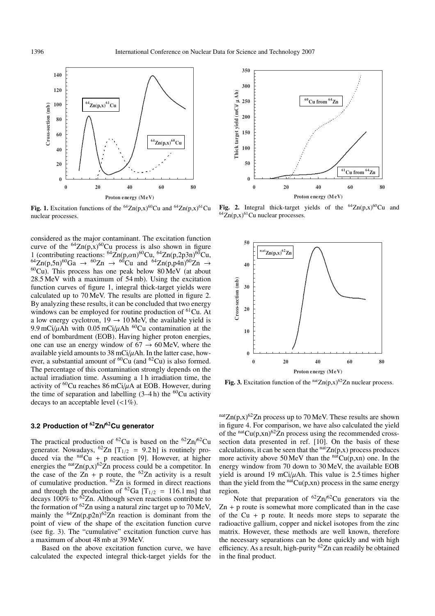

**Fig. 1.** Excitation functions of the <sup>64</sup>Zn(p,x)<sup>60</sup>Cu and <sup>64</sup>Zn(p,x)<sup>61</sup>Cu nuclear processes.

considered as the major contaminant. The excitation function curve of the  ${}^{64}Zn(p,x) {}^{60}Cu$  process is also shown in figure 1 (contributing reactions:  ${}^{64}Zn(p,\alpha n)^{60}Cu$ ,  ${}^{64}Zn(p,2p3n)^{60}Cu$ ,  ${}^{64}Zn(p,5n)^{60}Ga \rightarrow {}^{60}Zn \rightarrow {}^{60}Cu$  and  ${}^{64}Zn(p,p4n)^{60}Zn \rightarrow {}^{60}Cu$ . This process has one peak below 80 MeV (at about 28.5 MeV with a maximum of 54 mb). Using the excitation function curves of figure 1, integral thick-target yields were calculated up to 70 MeV. The results are plotted in figure 2. By analyzing these results, it can be concluded that two energy windows can be employed for routine production of  ${}^{61}Cu$ . At a low energy cyclotron,  $19 \rightarrow 10$  MeV, the available yield is 9.9 mCi/ $\mu$ Ah with 0.05 mCi/ $\mu$ Ah <sup>60</sup>Cu contamination at the end of bombardment (EOB). Having higher proton energies, one can use an energy window of  $67 \rightarrow 60$  MeV, where the available yield amounts to  $38$  mCi/ $\mu$ Ah. In the latter case, however, a substantial amount of  ${}^{60}Cu$  (and  ${}^{62}Cu$ ) is also formed. The percentage of this contamination strongly depends on the actual irradiation time. Assuming a 1 h irradiation time, the activity of  ${}^{60}$ Cu reaches 86 mCi/ $\mu$ A at EOB. However, during the time of separation and labelling  $(3-4 h)$  the <sup>60</sup>Cu activity decays to an acceptable level  $\left(\langle 1\% \rangle \right)$ .

### **3.2 Production of <sup>62</sup>Zn/62Cu generator**

The practical production of <sup>62</sup>Cu is based on the  $^{62}Zn/^{62}Cu$ generator. Nowadays, <sup>62</sup>Zn [T<sub>1/2</sub> = 9.2 h] is routinely produced via the  $<sup>nat</sup>Cu + p$  reaction [9]. However, at higher</sup> energies the  $natZn(p,x)^{62}Zn$  process could be a competitor. In the case of the  $\overline{Z}$ n + p route, the <sup>62</sup>Zn activity is a result of cumulative production. 62Zn is formed in direct reactions and through the production of <sup>62</sup>Ga [T<sub>1/2</sub> = 116.1 ms] that decays  $100\%$  to <sup>62</sup>Zn. Although seven reactions contribute to the formation of  ${}^{62}Zn$  using a natural zinc target up to 70 MeV, mainly the  $^{64}Zn(p,p2n)^{62}Zn$  reaction is dominant from the point of view of the shape of the excitation function curve (see fig. 3). The "cumulative" excitation function curve has a maximum of about 48 mb at 39 MeV.

Based on the above excitation function curve, we have calculated the expected integral thick-target yields for the



**Fig. 2.** Integral thick-target yields of the  ${}^{64}Zn(p,x) {}^{60}Cu$  and  $^{64}Zn(p,x)^{61}Cu$  nuclear processes.



**Fig. 3.** Excitation function of the  $natZn(p,x)^{62}Zn$  nuclear process.

 $n^{\text{nat}}Zn(p,x)^{62}Zn$  process up to 70 MeV. These results are shown in figure 4. For comparison, we have also calculated the yield of the  $natCu(p,xn)^{62}Zn$  process using the recommended crosssection data presented in ref. [10]. On the basis of these calculations, it can be seen that the  $<sup>nat</sup>Zn(p,x)$  process produces</sup> more activity above 50 MeV than the  $<sup>nat</sup>Cu(p,xn)$  one. In the</sup> energy window from 70 down to 30 MeV, the available EOB yield is around 19 mCi/ $\mu$ Ah. This value is 2.5 times higher than the yield from the  $<sup>nat</sup>Cu(p,xn)$  process in the same energy</sup> region.

Note that preparation of  ${}^{62}Zn/{}^{62}Cu$  generators via the  $Zn + p$  route is somewhat more complicated than in the case of the  $Cu + p$  route. It needs more steps to separate the radioactive gallium, copper and nickel isotopes from the zinc matrix. However, these methods are well known, therefore the necessary separations can be done quickly and with high efficiency. As a result, high-purity 62Zn can readily be obtained in the final product.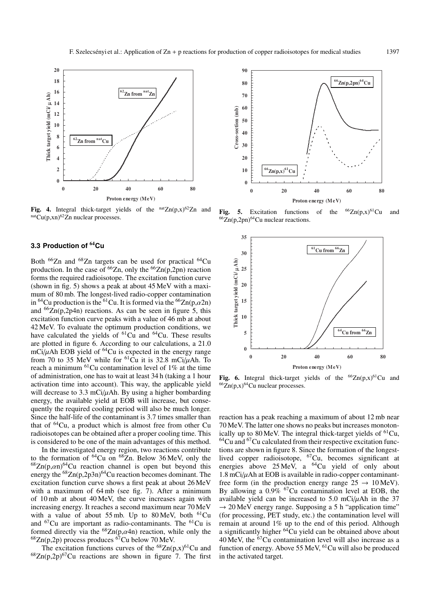

Fig. 4. Integral thick-target yields of the  $natZn(p,x)^{62}Zn$  and  $natCu(p,xn)^{62}Zn$  nuclear processes.

# **3.3 Production of <sup>64</sup>Cu**

Both <sup>66</sup>Zn and <sup>68</sup>Zn targets can be used for practical <sup>64</sup>Cu production. In the case of  $^{66}Zn$ , only the  $^{66}Zn(p,2pn)$  reaction forms the required radioisotope. The excitation function curve (shown in fig. 5) shows a peak at about 45 MeV with a maximum of 80 mb. The longest-lived radio-copper contamination in <sup>64</sup>Cu production is the <sup>61</sup>Cu. It is formed via the <sup>66</sup>Zn(p, $\alpha$ 2n) and  ${}^{66}Zn(p,2p4n)$  reactions. As can be seen in figure 5, this excitation function curve peaks with a value of 46 mb at about 42 MeV. To evaluate the optimum production conditions, we have calculated the yields of <sup>61</sup>Cu and <sup>64</sup>Cu. These results are plotted in figure 6. According to our calculations, a 21.0 mCi/ $\mu$ Ah EOB yield of <sup>64</sup>Cu is expected in the energy range from 70 to 35 MeV while for  ${}^{61}$ Cu it is 32.8 mCi/uAh. To reach a minimum  ${}^{61}$ Cu contamination level of 1% at the time of administration, one has to wait at least 34 h (taking a 1 hour activation time into account). This way, the applicable yield will decrease to 3.3 mCi $\mu$ Ah. By using a higher bombarding energy, the available yield at EOB will increase, but consequently the required cooling period will also be much longer. Since the half-life of the contaminant is 3.7 times smaller than that of  ${}^{64}Cu$ , a product which is almost free from other Cu radioisotopes can be obtained after a proper cooling time. This is considered to be one of the main advantages of this method.

In the investigated energy region, two reactions contribute to the formation of  ${}^{64}$ Cu on  ${}^{68}$ Zn. Below 36 MeV, only the  ${}^{68}Zn(p,\alpha n)^{64}$ Cu reaction channel is open but beyond this energy the  ${}^{68}Zn(p,2p3n){}^{64}Cu$  reaction becomes dominant. The excitation function curve shows a first peak at about 26 MeV with a maximum of 64 mb (see fig. 7). After a minimum of 10 mb at about 40 MeV, the curve increases again with increasing energy. It reaches a second maximum near 70 MeV with a value of about 55 mb. Up to  $80 \text{ MeV}$ , both  $^{61}$ Cu and  ${}^{67}Cu$  are important as radio-contaminants. The  ${}^{61}Cu$  is formed directly via the  ${}^{68}Zn(p,\alpha4n)$  reaction, while only the  $^{68}Zn(p,2p)$  process produces  $^{67}Cu$  below 70 MeV.

The excitation functions curves of the  ${}^{68}Zn(p,x){}^{61}Cu$  and  $68Zn(p,2p)$ <sup>67</sup>Cu reactions are shown in figure 7. The first



**Fig. 5.** Excitation functions of the  ${}^{66}Zn(p,x){}^{61}Cu$  and  $^{66}Zn(p,2pn)^{64}Cu$  nuclear reactions.



**Fig. 6.** Integral thick-target yields of the  ${}^{66}Zn(p,x) {}^{61}Cu$  and  $^{66}Zn(p,x)^{64}Cu$  nuclear processes.

reaction has a peak reaching a maximum of about 12 mb near 70 MeV. The latter one shows no peaks but increases monotonically up to 80 MeV. The integral thick-target yields of  ${}^{61}Cu$ ,  $64$ Cu and  $67$ Cu calculated from their respective excitation functions are shown in figure 8. Since the formation of the longestlived copper radioisotope,  ${}^{67}Cu$ , becomes significant at energies above  $25 \text{ MeV}$ , a <sup>64</sup>Cu yield of only about  $1.8$  mCi $/\mu$ Ah at EOB is available in radio-copper contaminantfree form (in the production energy range  $25 \rightarrow 10 \,\text{MeV}$ ). By allowing a 0.9% 67Cu contamination level at EOB, the available yield can be increased to  $5.0$  mCi/ $\mu$ Ah in the 37  $\rightarrow$  20 MeV energy range. Supposing a 5 h "application time" (for processing, PET study, etc.) the contamination level will remain at around 1% up to the end of this period. Although a significantly higher <sup>64</sup>Cu yield can be obtained above about  $40 \text{ MeV}$ , the  $67 \text{Cu}$  contamination level will also increase as a function of energy. Above 55 MeV, <sup>61</sup>Cu will also be produced in the activated target.